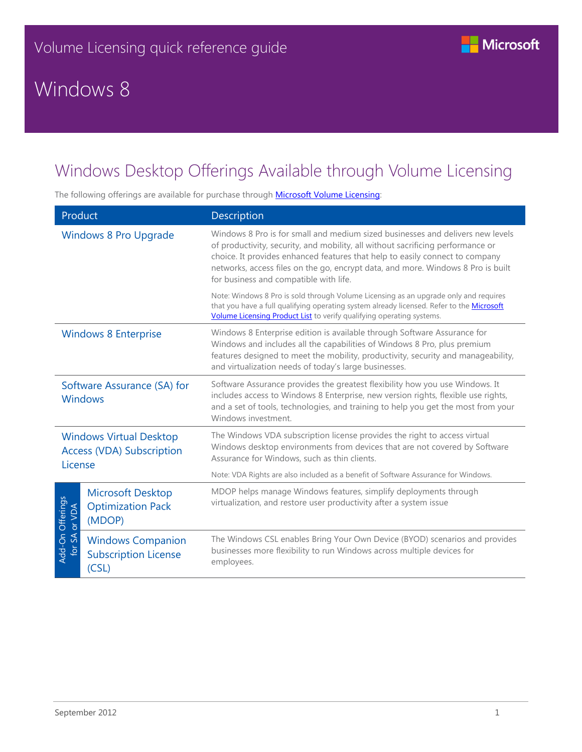# Windows 8



The following offerings are available for purchase through **Microsoft Volume Licensing**:

| Product                                                                       |                                                                  | Description                                                                                                                                                                                                                                                                                                                                                                     |  |
|-------------------------------------------------------------------------------|------------------------------------------------------------------|---------------------------------------------------------------------------------------------------------------------------------------------------------------------------------------------------------------------------------------------------------------------------------------------------------------------------------------------------------------------------------|--|
| <b>Windows 8 Pro Upgrade</b>                                                  |                                                                  | Windows 8 Pro is for small and medium sized businesses and delivers new levels<br>of productivity, security, and mobility, all without sacrificing performance or<br>choice. It provides enhanced features that help to easily connect to company<br>networks, access files on the go, encrypt data, and more. Windows 8 Pro is built<br>for business and compatible with life. |  |
|                                                                               |                                                                  | Note: Windows 8 Pro is sold through Volume Licensing as an upgrade only and requires<br>that you have a full qualifying operating system already licensed. Refer to the Microsoft<br>Volume Licensing Product List to verify qualifying operating systems.                                                                                                                      |  |
| <b>Windows 8 Enterprise</b>                                                   |                                                                  | Windows 8 Enterprise edition is available through Software Assurance for<br>Windows and includes all the capabilities of Windows 8 Pro, plus premium<br>features designed to meet the mobility, productivity, security and manageability,<br>and virtualization needs of today's large businesses.                                                                              |  |
| Software Assurance (SA) for<br><b>Windows</b>                                 |                                                                  | Software Assurance provides the greatest flexibility how you use Windows. It<br>includes access to Windows 8 Enterprise, new version rights, flexible use rights,<br>and a set of tools, technologies, and training to help you get the most from your<br>Windows investment.                                                                                                   |  |
| <b>Windows Virtual Desktop</b><br><b>Access (VDA) Subscription</b><br>License |                                                                  | The Windows VDA subscription license provides the right to access virtual<br>Windows desktop environments from devices that are not covered by Software<br>Assurance for Windows, such as thin clients.                                                                                                                                                                         |  |
|                                                                               |                                                                  | Note: VDA Rights are also included as a benefit of Software Assurance for Windows.                                                                                                                                                                                                                                                                                              |  |
| Add-On Offerings<br>for SA or VDA                                             | <b>Microsoft Desktop</b><br><b>Optimization Pack</b><br>(MDOP)   | MDOP helps manage Windows features, simplify deployments through<br>virtualization, and restore user productivity after a system issue                                                                                                                                                                                                                                          |  |
|                                                                               | <b>Windows Companion</b><br><b>Subscription License</b><br>(CSL) | The Windows CSL enables Bring Your Own Device (BYOD) scenarios and provides<br>businesses more flexibility to run Windows across multiple devices for<br>employees.                                                                                                                                                                                                             |  |

**Nicrosoft**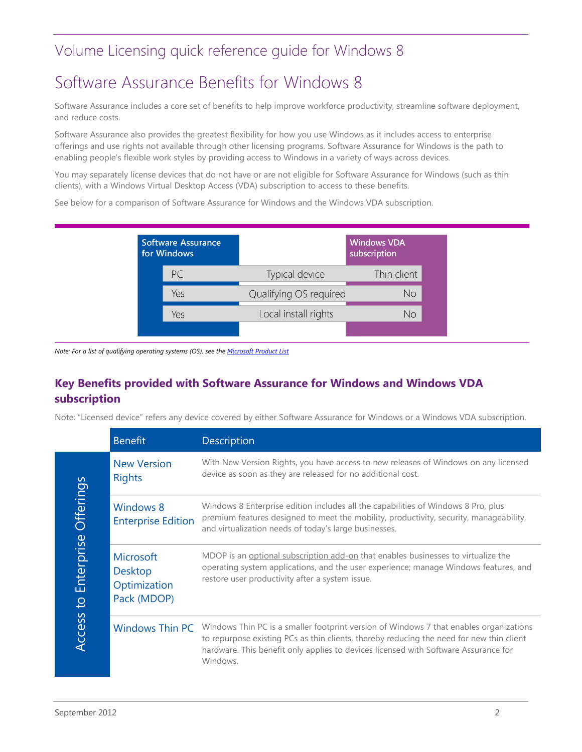#### Volume Licensing quick reference guide for Windows 8

## Software Assurance Benefits for Windows 8

Software Assurance includes a core set of benefits to help improve workforce productivity, streamline software deployment, and reduce costs.

Software Assurance also provides the greatest flexibility for how you use Windows as it includes access to enterprise offerings and use rights not available through other licensing programs. Software Assurance for Windows is the path to enabling people's flexible work styles by providing access to Windows in a variety of ways across devices.

You may separately license devices that do not have or are not eligible for Software Assurance for Windows (such as thin clients), with a Windows Virtual Desktop Access (VDA) subscription to access to these benefits.

See below for a comparison of Software Assurance for Windows and the Windows VDA subscription.

| <b>Software Assurance</b><br>for Windows |     |                        | <b>Windows VDA</b><br>subscription |
|------------------------------------------|-----|------------------------|------------------------------------|
|                                          | PC  | Typical device         | Thin client                        |
|                                          | Yes | Qualifying OS required | No                                 |
|                                          | Yes | Local install rights   | No                                 |
|                                          |     |                        |                                    |

*Note: For a list of qualifying operating systems (OS), see th[e Microsoft Product List](http://www.microsoftvolumelicensing.com/DocumentSearch.aspx?Mode=3&DocumentTypeId=3)*

#### **Key Benefits provided with Software Assurance for Windows and Windows VDA subscription**

Note: "Licensed device" refers any device covered by either Software Assurance for Windows or a Windows VDA subscription.

|                                        | <b>Benefit</b>                                                    | <b>Description</b>                                                                                                                                                                                                                                                                    |
|----------------------------------------|-------------------------------------------------------------------|---------------------------------------------------------------------------------------------------------------------------------------------------------------------------------------------------------------------------------------------------------------------------------------|
|                                        | <b>New Version</b><br><b>Rights</b>                               | With New Version Rights, you have access to new releases of Windows on any licensed<br>device as soon as they are released for no additional cost.                                                                                                                                    |
|                                        | <b>Windows 8</b><br><b>Enterprise Edition</b>                     | Windows 8 Enterprise edition includes all the capabilities of Windows 8 Pro, plus<br>premium features designed to meet the mobility, productivity, security, manageability,<br>and virtualization needs of today's large businesses.                                                  |
| Enterprise Offerings<br>$\overline{c}$ | <b>Microsoft</b><br><b>Desktop</b><br>Optimization<br>Pack (MDOP) | MDOP is an optional subscription add-on that enables businesses to virtualize the<br>operating system applications, and the user experience; manage Windows features, and<br>restore user productivity after a system issue.                                                          |
| Access                                 | <b>Windows Thin PC</b>                                            | Windows Thin PC is a smaller footprint version of Windows 7 that enables organizations<br>to repurpose existing PCs as thin clients, thereby reducing the need for new thin client<br>hardware. This benefit only applies to devices licensed with Software Assurance for<br>Windows. |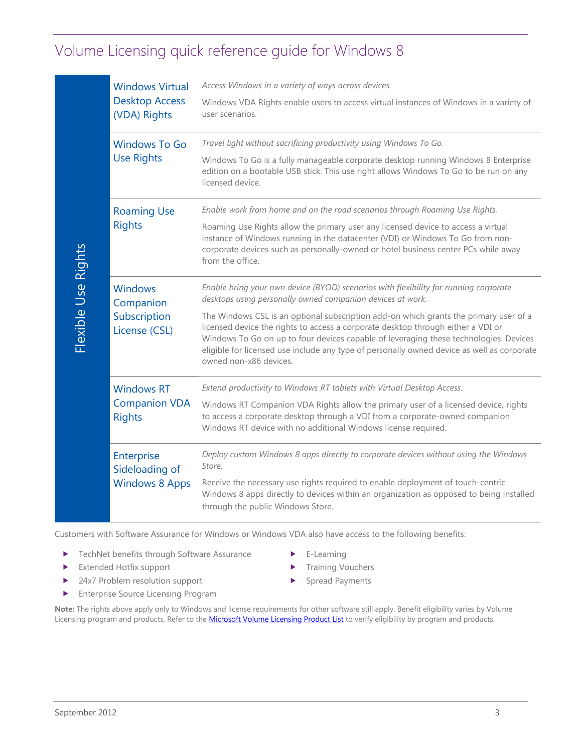### Volume Licensing quick reference guide for Windows 8

|                     | <b>Windows Virtual</b><br><b>Desktop Access</b><br>(VDA) Rights                                                                                         | Access Windows in a variety of ways across devices.<br>Windows VDA Rights enable users to access virtual instances of Windows in a variety of<br>user scenarios.                                                                                                                                                                                                                                                                                                                                                                                 |  |  |
|---------------------|---------------------------------------------------------------------------------------------------------------------------------------------------------|--------------------------------------------------------------------------------------------------------------------------------------------------------------------------------------------------------------------------------------------------------------------------------------------------------------------------------------------------------------------------------------------------------------------------------------------------------------------------------------------------------------------------------------------------|--|--|
|                     | <b>Windows To Go</b><br><b>Use Rights</b>                                                                                                               | Travel light without sacrificing productivity using Windows To Go.<br>Windows To Go is a fully manageable corporate desktop running Windows 8 Enterprise<br>edition on a bootable USB stick. This use right allows Windows To Go to be run on any<br>licensed device.                                                                                                                                                                                                                                                                            |  |  |
|                     | <b>Roaming Use</b><br><b>Rights</b>                                                                                                                     | Enable work from home and on the road scenarios through Roaming Use Rights.<br>Roaming Use Rights allow the primary user any licensed device to access a virtual<br>instance of Windows running in the datacenter (VDI) or Windows To Go from non-<br>corporate devices such as personally-owned or hotel business center PCs while away<br>from the office.                                                                                                                                                                                     |  |  |
| Flexible Use Rights | <b>Windows</b><br>Companion<br>Subscription<br>License (CSL)                                                                                            | Enable bring your own device (BYOD) scenarios with flexibility for running corporate<br>desktops using personally owned companion devices at work.<br>The Windows CSL is an optional subscription add-on which grants the primary user of a<br>licensed device the rights to access a corporate desktop through either a VDI or<br>Windows To Go on up to four devices capable of leveraging these technologies. Devices<br>eligible for licensed use include any type of personally owned device as well as corporate<br>owned non-x86 devices. |  |  |
|                     | <b>Windows RT</b><br><b>Companion VDA</b><br><b>Rights</b>                                                                                              | Extend productivity to Windows RT tablets with Virtual Desktop Access.<br>Windows RT Companion VDA Rights allow the primary user of a licensed device, rights<br>to access a corporate desktop through a VDI from a corporate-owned companion<br>Windows RT device with no additional Windows license required.                                                                                                                                                                                                                                  |  |  |
|                     | Enterprise<br>Sideloading of<br><b>Windows 8 Apps</b>                                                                                                   | Deploy custom Windows 8 apps directly to corporate devices without using the Windows<br>Store.<br>Receive the necessary use rights required to enable deployment of touch-centric<br>Windows 8 apps directly to devices within an organization as opposed to being installed<br>through the public Windows Store.                                                                                                                                                                                                                                |  |  |
| ▶<br>▶<br>▶         | TechNet benefits through Software Assurance<br>Extended Hotfix support<br>24x7 Problem resolution support<br><b>Enterprise Source Licensing Program</b> | Customers with Software Assurance for Windows or Windows VDA also have access to the following benefits:<br>E-Learning<br><b>Training Vouchers</b><br><b>Spread Payments</b><br>Note: The rights above apply only to Windows and license requirements for other software still apply. Benefit eligibility varies by Volume<br>Licensing program and products. Refer to the Microsoft Volume Licensing Product List to verify eligibility by program and products.                                                                                |  |  |
| September 2012      |                                                                                                                                                         | 3                                                                                                                                                                                                                                                                                                                                                                                                                                                                                                                                                |  |  |

- ▶ TechNet benefits through Software Assurance
- **Extended Hotfix support**
- 24x7 Problem resolution support
- **Enterprise Source Licensing Program**
- E-Learning
- **Training Vouchers**
- Spread Payments
- **Note:** The rights above apply only to Windows and license requirements for other software still apply. Benefit eligibility varies by Volume Licensing program and products. Refer to the [Microsoft Volume Licensing Product List](http://www.microsoft.com/licensing/about-licensing/product-licensing.aspx#tab=2) to verify eligibility by program and products.